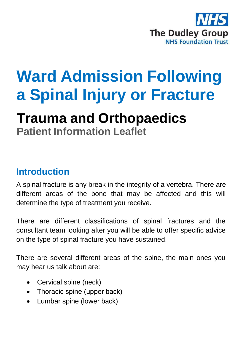

# **Ward Admission Following a Spinal Injury or Fracture**

## **Trauma and Orthopaedics**

**Patient Information Leaflet**

#### **Introduction**

A spinal fracture is any break in the integrity of a vertebra. There are different areas of the bone that may be affected and this will determine the type of treatment you receive.

There are different classifications of spinal fractures and the consultant team looking after you will be able to offer specific advice on the type of spinal fracture you have sustained.

There are several different areas of the spine, the main ones you may hear us talk about are:

- Cervical spine (neck)
- Thoracic spine (upper back)
- Lumbar spine (lower back)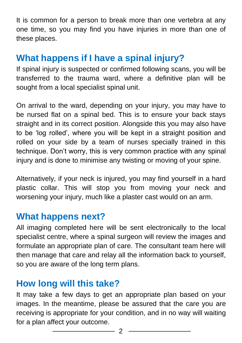It is common for a person to break more than one vertebra at any one time, so you may find you have injuries in more than one of these places.

#### **What happens if I have a spinal injury?**

If spinal injury is suspected or confirmed following scans, you will be transferred to the trauma ward, where a definitive plan will be sought from a local specialist spinal unit.

On arrival to the ward, depending on your injury, you may have to be nursed flat on a spinal bed. This is to ensure your back stays straight and in its correct position. Alongside this you may also have to be 'log rolled', where you will be kept in a straight position and rolled on your side by a team of nurses specially trained in this technique. Don't worry, this is very common practice with any spinal injury and is done to minimise any twisting or moving of your spine.

Alternatively, if your neck is injured, you may find yourself in a hard plastic collar. This will stop you from moving your neck and worsening your injury, much like a plaster cast would on an arm.

#### **What happens next?**

All imaging completed here will be sent electronically to the local specialist centre, where a spinal surgeon will review the images and formulate an appropriate plan of care. The consultant team here will then manage that care and relay all the information back to yourself, so you are aware of the long term plans.

#### **How long will this take?**

It may take a few days to get an appropriate plan based on your images. In the meantime, please be assured that the care you are receiving is appropriate for your condition, and in no way will waiting for a plan affect your outcome.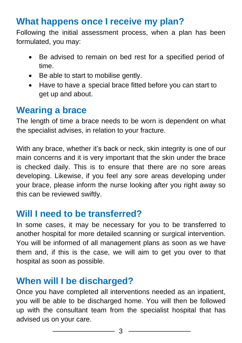## **What happens once I receive my plan?**

Following the initial assessment process, when a plan has been formulated, you may:

- Be advised to remain on bed rest for a specified period of time.
- Be able to start to mobilise gently.
- Have to have a special brace fitted before you can start to get up and about.

#### **Wearing a brace**

The length of time a brace needs to be worn is dependent on what the specialist advises, in relation to your fracture.

With any brace, whether it's back or neck, skin integrity is one of our main concerns and it is very important that the skin under the brace is checked daily. This is to ensure that there are no sore areas developing. Likewise, if you feel any sore areas developing under your brace, please inform the nurse looking after you right away so this can be reviewed swiftly.

#### **Will I need to be transferred?**

In some cases, it may be necessary for you to be transferred to another hospital for more detailed scanning or surgical intervention. You will be informed of all management plans as soon as we have them and, if this is the case, we will aim to get you over to that hospital as soon as possible.

## **When will I be discharged?**

Once you have completed all interventions needed as an inpatient, you will be able to be discharged home. You will then be followed up with the consultant team from the specialist hospital that has advised us on your care.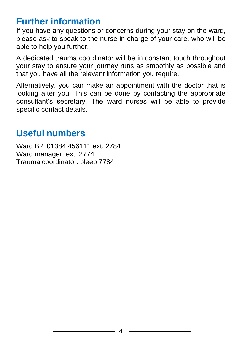#### **Further information**

If you have any questions or concerns during your stay on the ward, please ask to speak to the nurse in charge of your care, who will be able to help you further.

A dedicated trauma coordinator will be in constant touch throughout your stay to ensure your journey runs as smoothly as possible and that you have all the relevant information you require.

Alternatively, you can make an appointment with the doctor that is looking after you. This can be done by contacting the appropriate consultant's secretary. The ward nurses will be able to provide specific contact details.

#### **Useful numbers**

Ward B2: 01384 456111 ext. 2784 Ward manager: ext. 2774 Trauma coordinator: bleep 7784